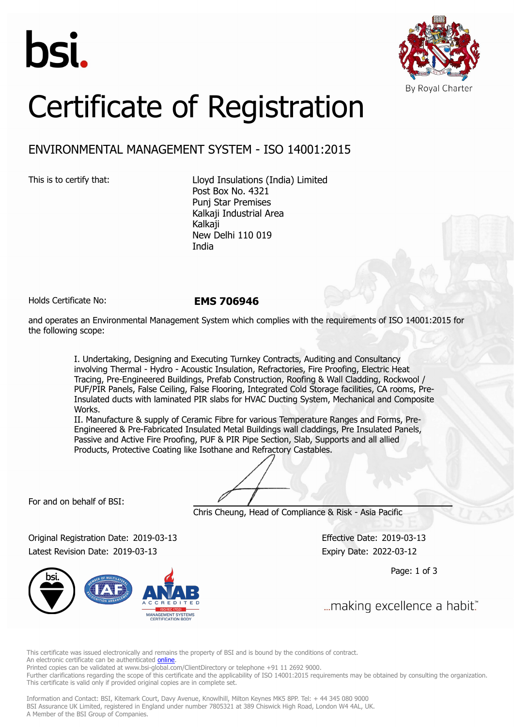



## Certificate of Registration

## ENVIRONMENTAL MANAGEMENT SYSTEM - ISO 14001:2015

This is to certify that: Lloyd Insulations (India) Limited Post Box No. 4321 Punj Star Premises Kalkaji Industrial Area Kalkaji New Delhi 110 019 India

Holds Certificate No: **EMS 706946**

and operates an Environmental Management System which complies with the requirements of ISO 14001:2015 for the following scope:

> I. Undertaking, Designing and Executing Turnkey Contracts, Auditing and Consultancy involving Thermal - Hydro - Acoustic Insulation, Refractories, Fire Proofing, Electric Heat Tracing, Pre-Engineered Buildings, Prefab Construction, Roofing & Wall Cladding, Rockwool / PUF/PIR Panels, False Ceiling, False Flooring, Integrated Cold Storage facilities, CA rooms, Pre-Insulated ducts with laminated PIR slabs for HVAC Ducting System, Mechanical and Composite Works.

II. Manufacture & supply of Ceramic Fibre for various Temperature Ranges and Forms, Pre-Engineered & Pre-Fabricated Insulated Metal Buildings wall claddings, Pre Insulated Panels, Passive and Active Fire Proofing, PUF & PIR Pipe Section, Slab, Supports and all allied Products, Protective Coating like Isothane and Refractory Castables.

For and on behalf of BSI:

Chris Cheung, Head of Compliance & Risk - Asia Pacific

Original Registration Date: 2019-03-13 Effective Date: 2019-03-13 Latest Revision Date: 2019-03-13 Expiry Date: 2022-03-12



Page: 1 of 3

... making excellence a habit."

This certificate was issued electronically and remains the property of BSI and is bound by the conditions of contract. An electronic certificate can be authenticated **[online](https://pgplus.bsigroup.com/CertificateValidation/CertificateValidator.aspx?CertificateNumber=EMS+706946&ReIssueDate=13%2f03%2f2019&Template=india_en)** 

Printed copies can be validated at www.bsi-global.com/ClientDirectory or telephone +91 11 2692 9000.

Further clarifications regarding the scope of this certificate and the applicability of ISO 14001:2015 requirements may be obtained by consulting the organization. This certificate is valid only if provided original copies are in complete set.

Information and Contact: BSI, Kitemark Court, Davy Avenue, Knowlhill, Milton Keynes MK5 8PP. Tel: + 44 345 080 9000 BSI Assurance UK Limited, registered in England under number 7805321 at 389 Chiswick High Road, London W4 4AL, UK. A Member of the BSI Group of Companies.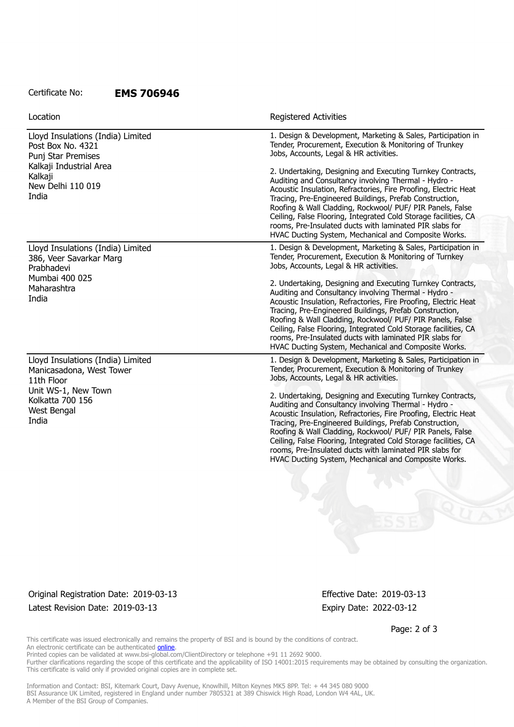## Certificate No: **EMS 706946**

| <b>Registered Activities</b>                                                                                                                                                                                                                                                                                                                                                                                                                                                                        |
|-----------------------------------------------------------------------------------------------------------------------------------------------------------------------------------------------------------------------------------------------------------------------------------------------------------------------------------------------------------------------------------------------------------------------------------------------------------------------------------------------------|
| 1. Design & Development, Marketing & Sales, Participation in<br>Tender, Procurement, Execution & Monitoring of Trunkey<br>Jobs, Accounts, Legal & HR activities.                                                                                                                                                                                                                                                                                                                                    |
| 2. Undertaking, Designing and Executing Turnkey Contracts,<br>Auditing and Consultancy involving Thermal - Hydro -<br>Acoustic Insulation, Refractories, Fire Proofing, Electric Heat<br>Tracing, Pre-Engineered Buildings, Prefab Construction,<br>Roofing & Wall Cladding, Rockwool/ PUF/ PIR Panels, False<br>Ceiling, False Flooring, Integrated Cold Storage facilities, CA<br>rooms, Pre-Insulated ducts with laminated PIR slabs for<br>HVAC Ducting System, Mechanical and Composite Works. |
| 1. Design & Development, Marketing & Sales, Participation in<br>Tender, Procurement, Execution & Monitoring of Turnkey<br>Jobs, Accounts, Legal & HR activities.                                                                                                                                                                                                                                                                                                                                    |
| 2. Undertaking, Designing and Executing Turnkey Contracts,<br>Auditing and Consultancy involving Thermal - Hydro -<br>Acoustic Insulation, Refractories, Fire Proofing, Electric Heat<br>Tracing, Pre-Engineered Buildings, Prefab Construction,<br>Roofing & Wall Cladding, Rockwool/ PUF/ PIR Panels, False<br>Ceiling, False Flooring, Integrated Cold Storage facilities, CA<br>rooms, Pre-Insulated ducts with laminated PIR slabs for<br>HVAC Ducting System, Mechanical and Composite Works. |
| 1. Design & Development, Marketing & Sales, Participation in<br>Tender, Procurement, Execution & Monitoring of Trunkey<br>Jobs, Accounts, Legal & HR activities.                                                                                                                                                                                                                                                                                                                                    |
| 2. Undertaking, Designing and Executing Turnkey Contracts,<br>Auditing and Consultancy involving Thermal - Hydro -<br>Acoustic Insulation, Refractories, Fire Proofing, Electric Heat<br>Tracing, Pre-Engineered Buildings, Prefab Construction,<br>Roofing & Wall Cladding, Rockwool/ PUF/ PIR Panels, False<br>Ceiling, False Flooring, Integrated Cold Storage facilities, CA<br>rooms, Pre-Insulated ducts with laminated PIR slabs for<br>HVAC Ducting System, Mechanical and Composite Works. |
|                                                                                                                                                                                                                                                                                                                                                                                                                                                                                                     |

Original Registration Date: 2019-03-13 Effective Date: 2019-03-13 Latest Revision Date: 2019-03-13 Expiry Date: 2022-03-12

Page: 2 of 3

This certificate was issued electronically and remains the property of BSI and is bound by the conditions of contract. An electronic certificate can be authenticated [online](https://pgplus.bsigroup.com/CertificateValidation/CertificateValidator.aspx?CertificateNumber=EMS+706946&ReIssueDate=13%2f03%2f2019&Template=india_en).

Printed copies can be validated at www.bsi-global.com/ClientDirectory or telephone +91 11 2692 9000.

Further clarifications regarding the scope of this certificate and the applicability of ISO 14001:2015 requirements may be obtained by consulting the organization. This certificate is valid only if provided original copies are in complete set.

Information and Contact: BSI, Kitemark Court, Davy Avenue, Knowlhill, Milton Keynes MK5 8PP. Tel: + 44 345 080 9000 BSI Assurance UK Limited, registered in England under number 7805321 at 389 Chiswick High Road, London W4 4AL, UK. A Member of the BSI Group of Companies.